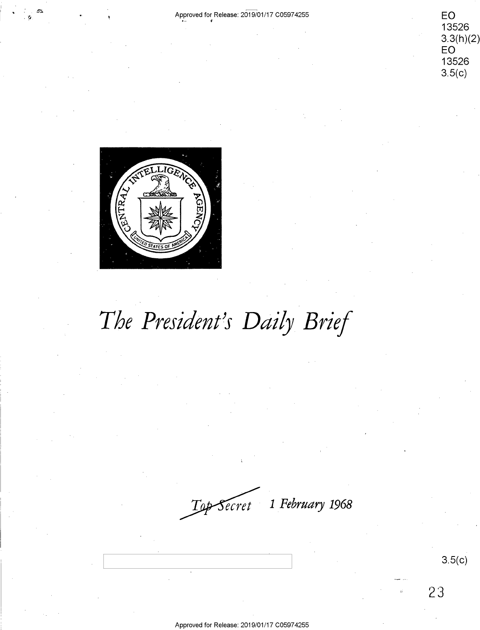nH C

**EO**  13526 EC) <sup>13526</sup> 3.3(h)(2)<br>EO<br>13526 **EO**  13526  $3.5(c)$ 



# The President's Daily Brief

**1** *February* **1968**  W1 February 1968

3.5(c)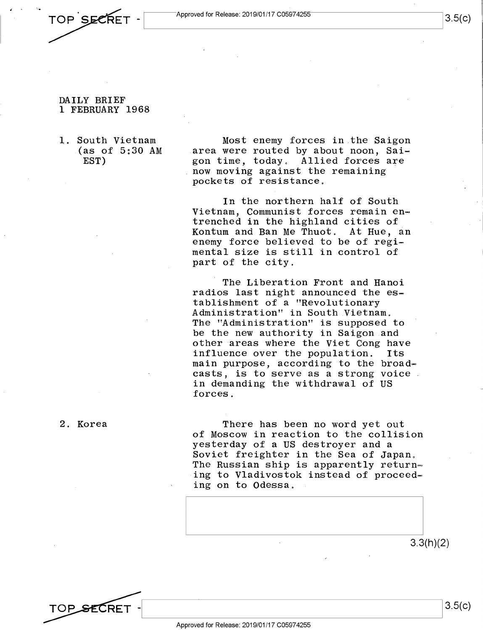$\frac{1}{3.5(c)}$ 

• TOP SECRET - <u>Approved for Release: 2019/01/17</u> C05974255 3.5(c) TOP SECRET -

 $\mathbf{r}$ 

- DAILY BRIEF DAILY BRIEF 1 FEBRUARY 1968 1 FEBRUARY 1968
- 1. South Vietnam 1. South Vietnam  $(as of 5:30 AM are$ EST) EST)

Most enemy forces in the Saigon Most enemy forces in.the Saigon area were routed by about noon, Saigon time, today. Allied forces are gon time, today, Allied forces are now moving against the remaining pockets of resistance. pockets of resistance,

In the northern half of South In the northern half of South Vietnam, Communist forces remain entrenched in the highland cities of trenched in the highland cities of Kontum and Ban Me Thuot. At Hue, an non-onm can gain more enably in the , and mental size is still in control of mental size is still in.control of part of the city. part of the city.

The Liberation Front and Hanoi The Liberation Front and Hanoi radios last night announced the es-radios last night announced the establishment of a "Revolutionary tablishment of <sup>a</sup> "Revolutionary Administration" in South Vietnam. Administration" in South Vietnam, The "Administration" is supposed to The "Administration" is supposed to be the new authority in Saigon and be the new authority in Saigon.and other areas where the Viet Cong have other areas where the Viet Cong have influence over the population. Its influence over the population. Its main purpose, according to the broadcasts, is to serve as a strong voice casts, is to serve as <sup>a</sup> strong voice. in demanding the withdrawal of US in demanding the withdrawal of US forces. forces.

2. Korea 2. Korea

TOP SECRET

There has been no word yet out There has been no word yet out of Moscow in reaction to the collision of Moscow in reaction to the collision yesterday of a US destroyer and a yesterday of\_a US destroyer and <sup>a</sup> Soviet freighter in the Sea of Japan. Soviet freighter in the Sea of Japan, The Russian ship is apparently return= The Russian ship is apparently returnm ing to Vladivostok instead of proceeding on to Odessa. ing on to Odessa,

3.3(h)(2) 3.3(h)(2)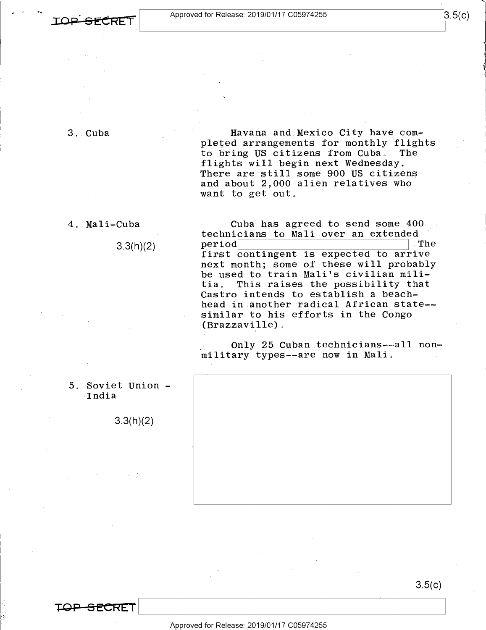**IOP. SECREI** 

3. Cuba 3,.Cuba

, Havana and Mexico City have completed arrangements for monthly flights to bring US citizens from Cuba. The flights will begin next Wednesday. flights will begin next Wednesday. There are still some 900 US citizens There are still some 900 US citizens and about 2,000 alien relatives who and about 2,000 alien relatives who want to get out.

4 .. Ma 1 i-Cuba 4..Mali-Cuba  $3.3(h)(2)$ Cuba has agreed to send some 400 Cuba has agreed\_to send some 400'

technicians to Mali over an extended recnnicians to <u>mail over an extended</u><br>period first contingent is expected to arrive next month; some of these will probably be used to train Mali's civilian mili-be used to train Mali's civilian militia. This raises the possibility that tia. This raises the possibility that Castro intends to establish a beach-Castro intends to establish.a beache head in another radical African state-- head in.another radical African statemm similar to his efforts in the Congo similar to his efforts in the Congo'  $(Brazzaville)$ . period The

only 25 Cuban technicians--all nonmilitary types--are now in Mali.

5. Soviet Union - 5° Soviet\_Union.- India -India

**CRET** 

3.3(h)(2) 3.3(h)(2)

3.5(c) 3.5(0)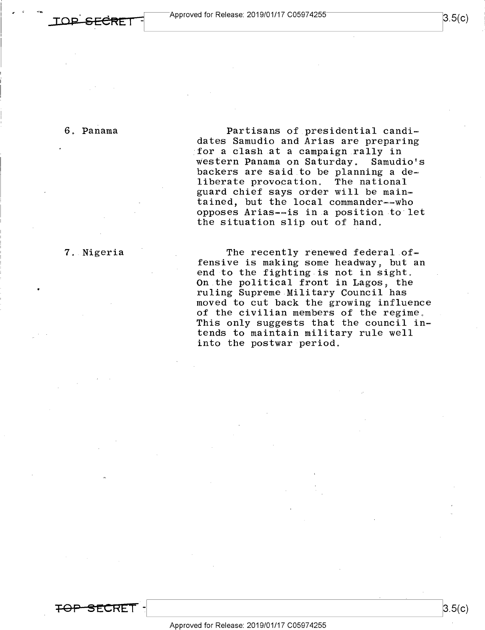### 6. Panama

Partisans of presidential candi-6, Panama Partisans of presidential candim dates Samudio and Arias are preparing dates Samudio and Arias are preparing for a clash at a campaign rally in western Panama on Saturday. Samudio's backers are said to be planning a de-backers are said to be planning <sup>a</sup> dew liberate provocation. The national liberate provocation, The national guard chief says order will be main-guard chief says order will be mainm tained, but the local commander--who tained, but the local commandermmwho opposes Arias-=is in a position to let opposes Arias—ais in.a position to let the situation slip out of hand. the situation Slip out of hand,

7. Nigeria

**-=FOP S E.CREI** -

7. Nigeria **The recently renewed federal** offensive is making some headway, but an  $\frac{1}{2}$  and to the fighting is not in sight. on the political front in Lagos, the ruling Supreme Military Council has ruling Supreme Military Council has moved to cut back the growing influence moved to cut back the growing influence notical to cat been the growing initiative. This only suggests that the council in-This only suggests that the council in» tends to maintain military rule well tends to maintain military rule well into the postwar period. into the postwar-period.

 $3.5(c)$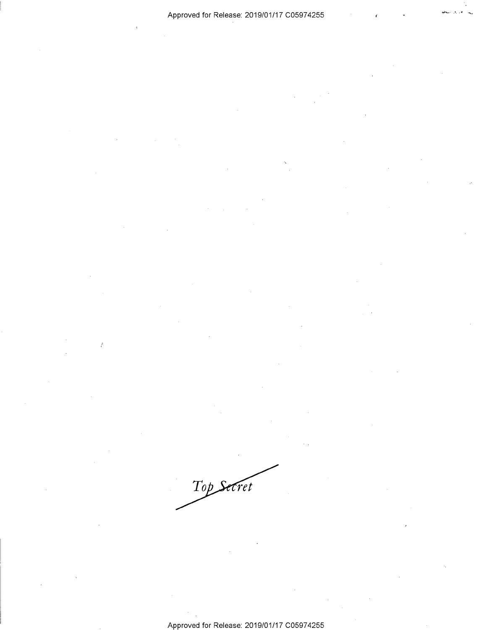Top Secret

 $\frac{7}{6}$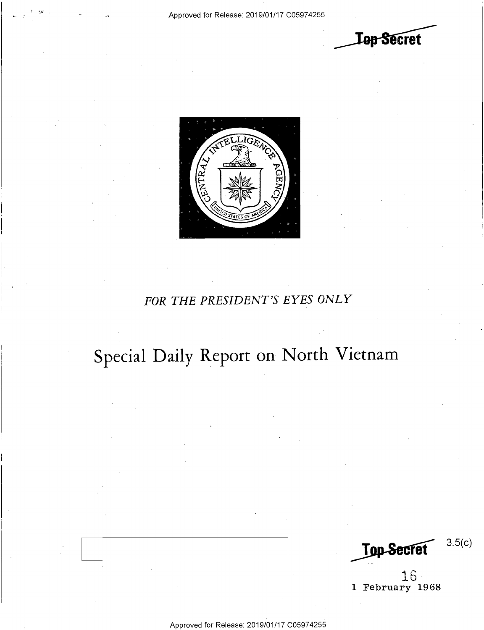n-

**Lep Secret** 



## *FOR THE PRESIDENT'S EYES ONLY*  FOR THE PRESIDENT'S EYES ONLY

## Special Daily Report on North Vietnam SPECial Daily Report on North'Vietnarn

Top Secret 3.5(c) Top Secret  $3.5(c)$ 

 $16$ 1 February 1968 1 February 1968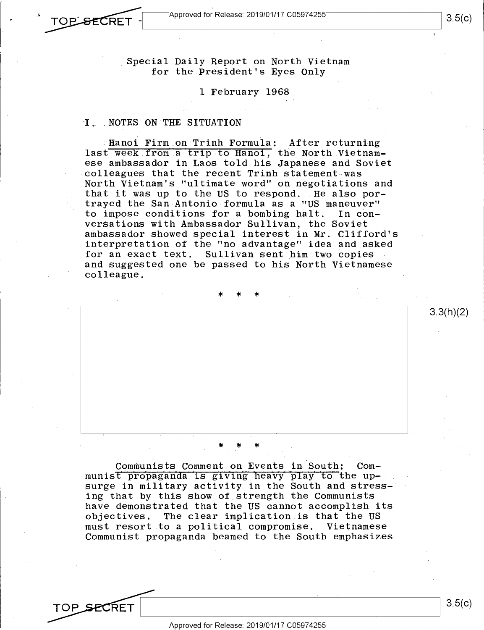$\rightarrow$  TOP SECRET - Approved for Release: 2019/01/17 C05974255  $\rightarrow$  3.5(c) Approved for Release: 2019/01/17 C05974255  $\frac{1}{3.5(0)}$  3.5(c) |

> Special Daily Report on North Vietnam 'Special Daily Report on North Vietnam for the President's Eyes Only for the.President's Eyes Only

> > 1 February 1968 -1 February 1968

# I. NOTES ON THE SITUATION

TOP SECRET

Hanoi Firm on Trinh Formula: After returning last week from a trip to Hanoi, the North Vietnam-1ast-week.from.a trip to Hanoi, the North Vietnam ese ambassador in Laos told his Japanese and Soviet ese ambassador in Laos told his Japanese and Soviet colleagues that the recent Trinh statement was North Vietnam's "ultimate word" on negotiations and North Vietnamls "ultimate-word" on negotiations and that it was up to the US to respond. He also por-that it was up to the US to respond. .He also por trayed the San Antonio formula as a "US maneuver" trayed the San Antonio-formula as <sup>a</sup> "US maneuver" to impose conditions for a bombing halt. In con-to impose conditions for <sup>a</sup> bombing halt.\_ In conversations with Ambassador Sullivan, the Soviet ambassador showed special interest in Mr. Clifford's -ambassador showed special interest in.Mr. Clifford's interpretation of the "no advantage" idea and asked interpretation of the "no advantage" idea and\_asked for an exact text. Sullivan sent him two copies for an exact.text. Sullivan sent him.two copies and suggested one be passed to his North Vietnamese and suggested one be passed to his North.Vietnamese colleague. colleague.

\* \* \*

#### \* \* \* \*\_\* \*

Communists Comment on Events in South: Com-Communists Comment\_on\_Events in South: Communist propaganda is giving heavy play to the upsurge in military activity in the South and stress-surge in military activity in the South and stress—' ing that by this show of strength the Communists ing that by this Show of\_strength the Communists have demonstrated that the US cannot accomplish its have demonstrated that the US cannot acComplish its objectives. The clear implication is that the US objectives. The clear implication.is that the US must resort to a political compromise. Vietnamese must resort.to <sup>a</sup> political compromise. Vietnamese Communist propaganda beamed to the South emphasizes Communist propaganda beamed to the South emphasizes

TOP SFCRET

3.5(c)  $\overline{BFT}$  3.5(c)

 $3.3(h)(2)$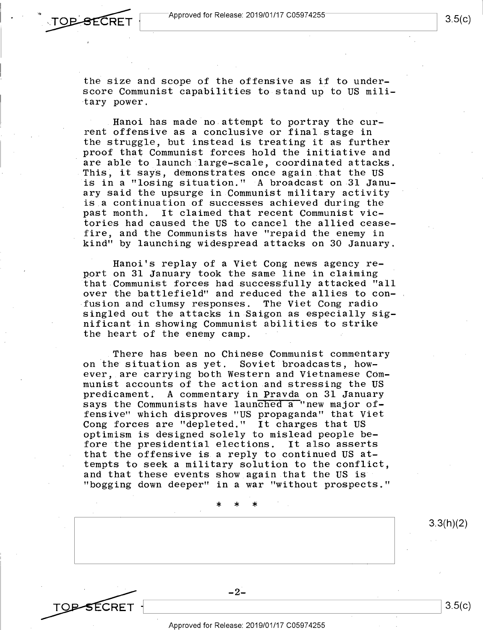1\*

the size and scope of the offensive as if to under-the size and scope of the offensive as if to underscore Communist capabilities to stand up to US mili-score Communist capabilities to stand up to US mili tary power.

Hanoi has made no attempt to portray the current offensive as a conclusive or final stage in rent offensive as <sup>a</sup> conclusive or final stage in the struggle, but instead is treating it as further the struggle, but instead is treating it as further proof that Communist forces hold the initiative and proof that Communist forces hold the initiative and are able to launch large-scale, coordinated attacks. are able to launch large—scale, coordinated attacks. are able to haunch harge-scare, coordinated attacks.<br>This, it says, demonstrates once again that the US is in a "losing situation." A broadcast on 31 Janu-'is in <sup>a</sup> "losing situation." -A broadcast on 31 January said the upsurge in Communist military activity ary said the upsurge in.Communist military activity is.a continuation of successes achieved during the is,a continuation.of successes achieved during the past month. It claimed that recent Communist vic-past month. It claimed that recent Communist victories had caused the US to cancel the allied cease-tories had caused the US to cancel the allied ceasefire, and the Communists have "repaid the enemy in fire, and the Communists have "repaid the enemy in kind" by launching widespread attacks on 30 January. kind" by launching widespread attacks on 30 January.

Hanoi's replay of a Viet Cong news agency re-Hanoi's replay of <sup>a</sup> Viet Cong news agency report on 31 January took the same line in claiming port on 31 January took the same line in claiming that Communist forces had successfully attacked "all 'that Communist forces had.successfully attacked "all over the battlefield" and reduced the allies to con-over the battlefield" and reduced the allies to con— . fusion and clumsy responses. The Viet Cong radio singled out the attacks in Saigon as especially sig-singled out the attacks in Saigon as especially sig nificant in showing Communist abilities to strike nificant-in showing Communist abilities to strike the heart of the enemy camp. the heart of the enemy camp. <sup>=</sup>

There has been no Chinese Communist commentary on the situation as yet. Soviet broadcasts, how-on the situation as yet. Soviet broadcasts, how ever, are carrying both Western and Vietnamese Com-ever, are Carrying both Western and Vietnamese COmmunist accounts of the action and stressing the US munist accounts of the action.and stressing the US predicament. A commentary in Pravda on 31 January predicament. A commentary in Pravda on 31 January productions. In communication can be considered a "new major offensive" which disproves "US propaganda" that Viet fensive" which disproves "US propaganda" that Viet Cong forces are "depleted." It charges that US Cong forces are "depleted." It charges that US optimism is designed solely to mislead people be-optimism is designed solely to mislead people be fore the presidential elections. It also asserts fore the presidential elections. It also asserts that the offensive is a reply to continued US at-that the offensive is.a reply to continued US attempts to seek a military solution to the conflict, and that these events show again that the US is and that these events show again that the US 18' "bogging down deeper" in a war "without prospects." "bogging down deeper" in <sup>a</sup> war "without prospects."

> \* \* \* \*>|< \*

TO<del>D S</del>ECRET  $CRET$   $3.5(c)$ 

Approved for Release: 2019/01/17 C05974255 Approved for Release: 2019/01/17 C05974255

 $-2-$ 

 $-2-$ 

 $3.3(h)(2)$ 

3.5(c)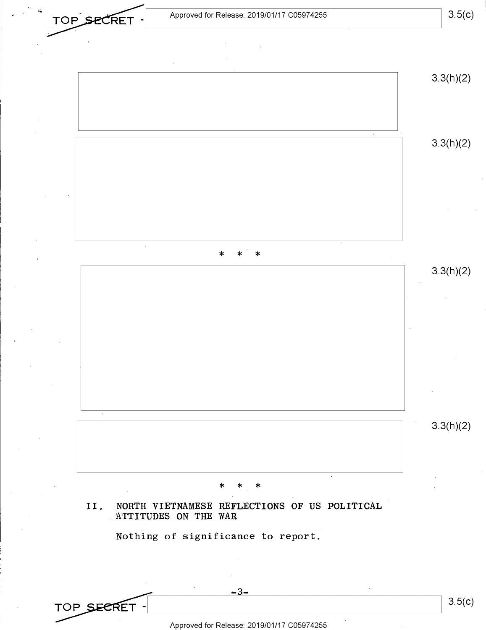3.5(c)



Approved for Release: 2019/01/17 C05974255 'Approved for Release: 2019/01/17 C05974255

TOP SECRET